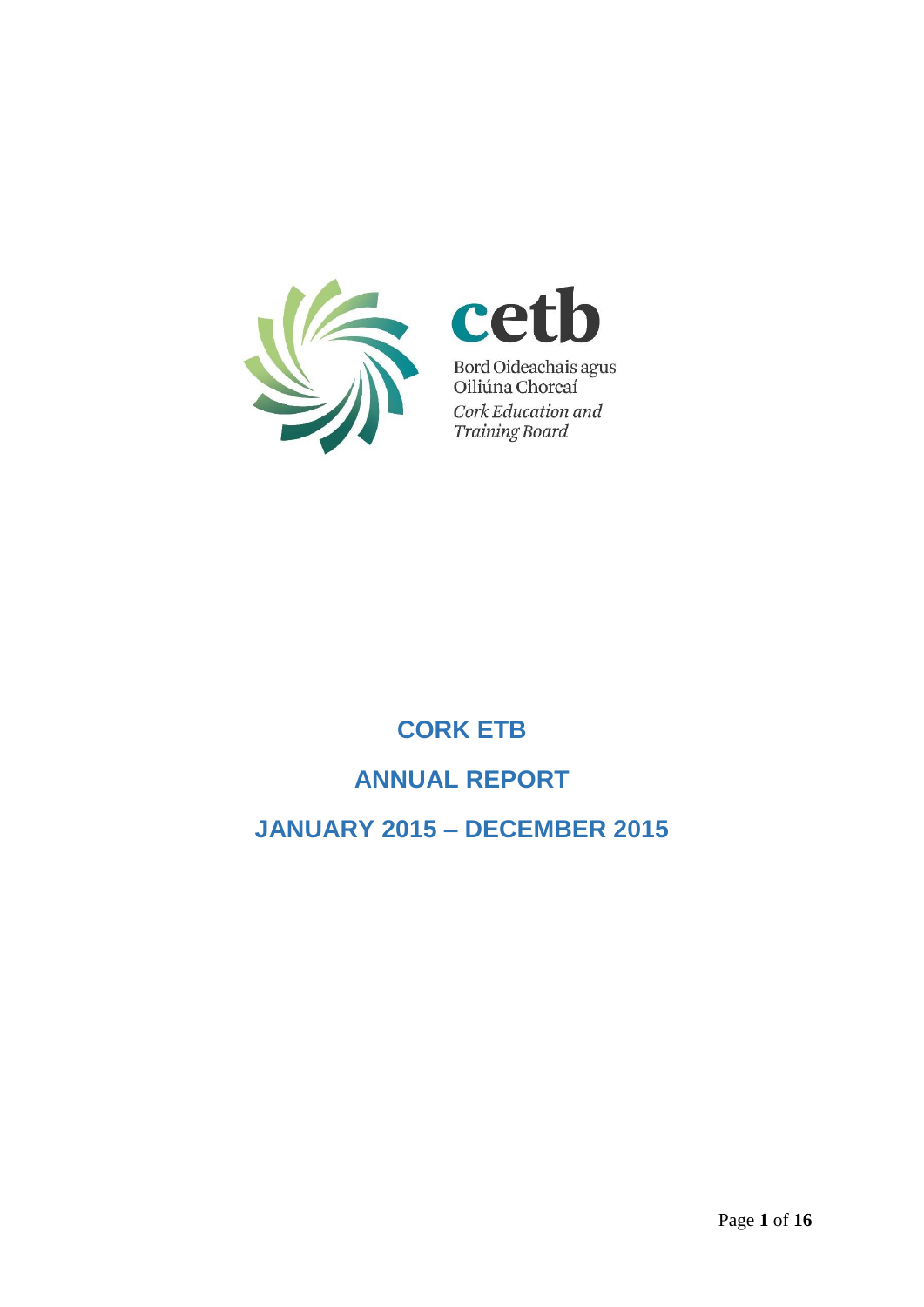



# **CORK ETB ANNUAL REPORT**

**JANUARY 2015 – DECEMBER 2015**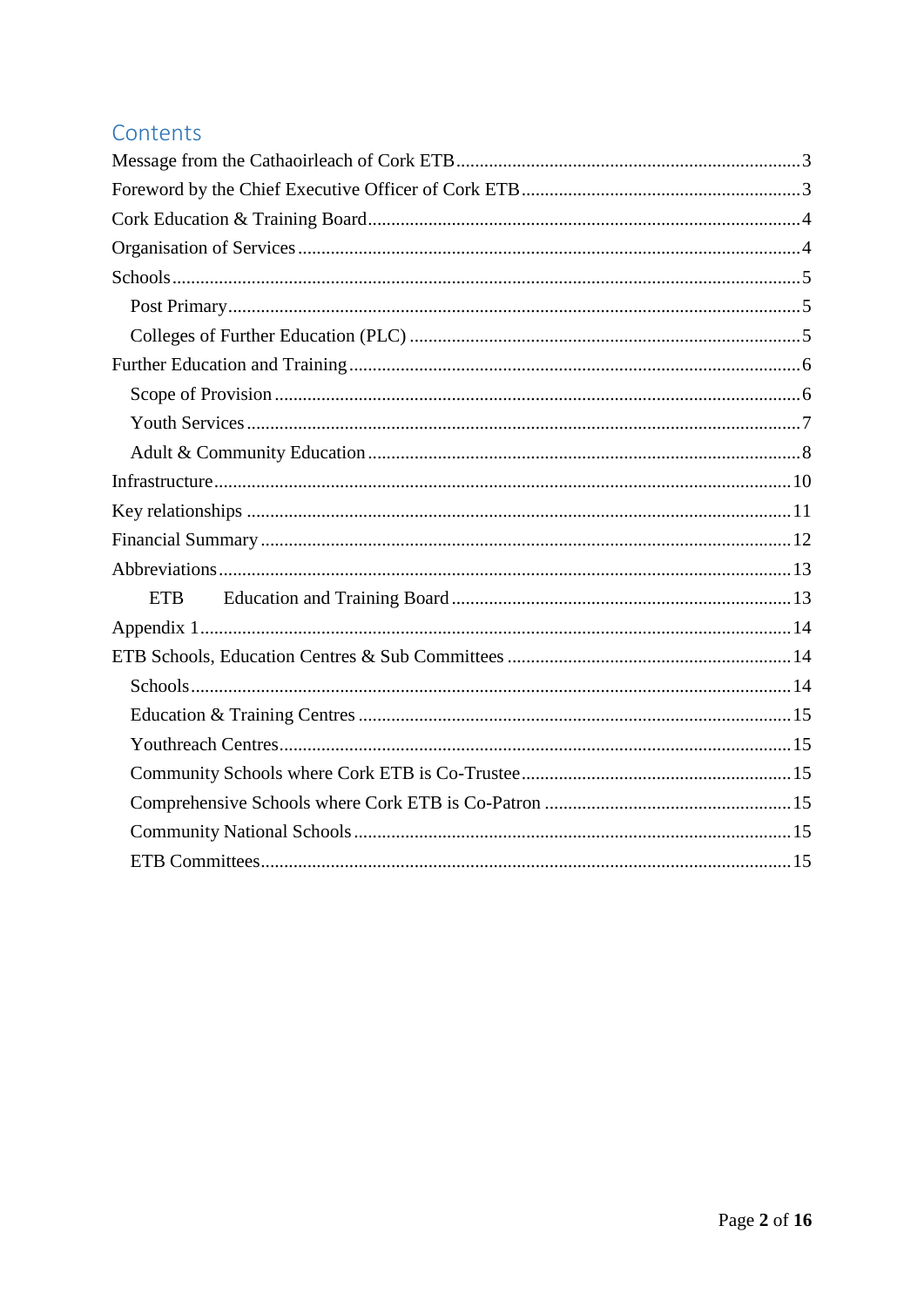### Contents

| ETB <sub>1</sub> |
|------------------|
|                  |
|                  |
|                  |
|                  |
|                  |
|                  |
|                  |
|                  |
|                  |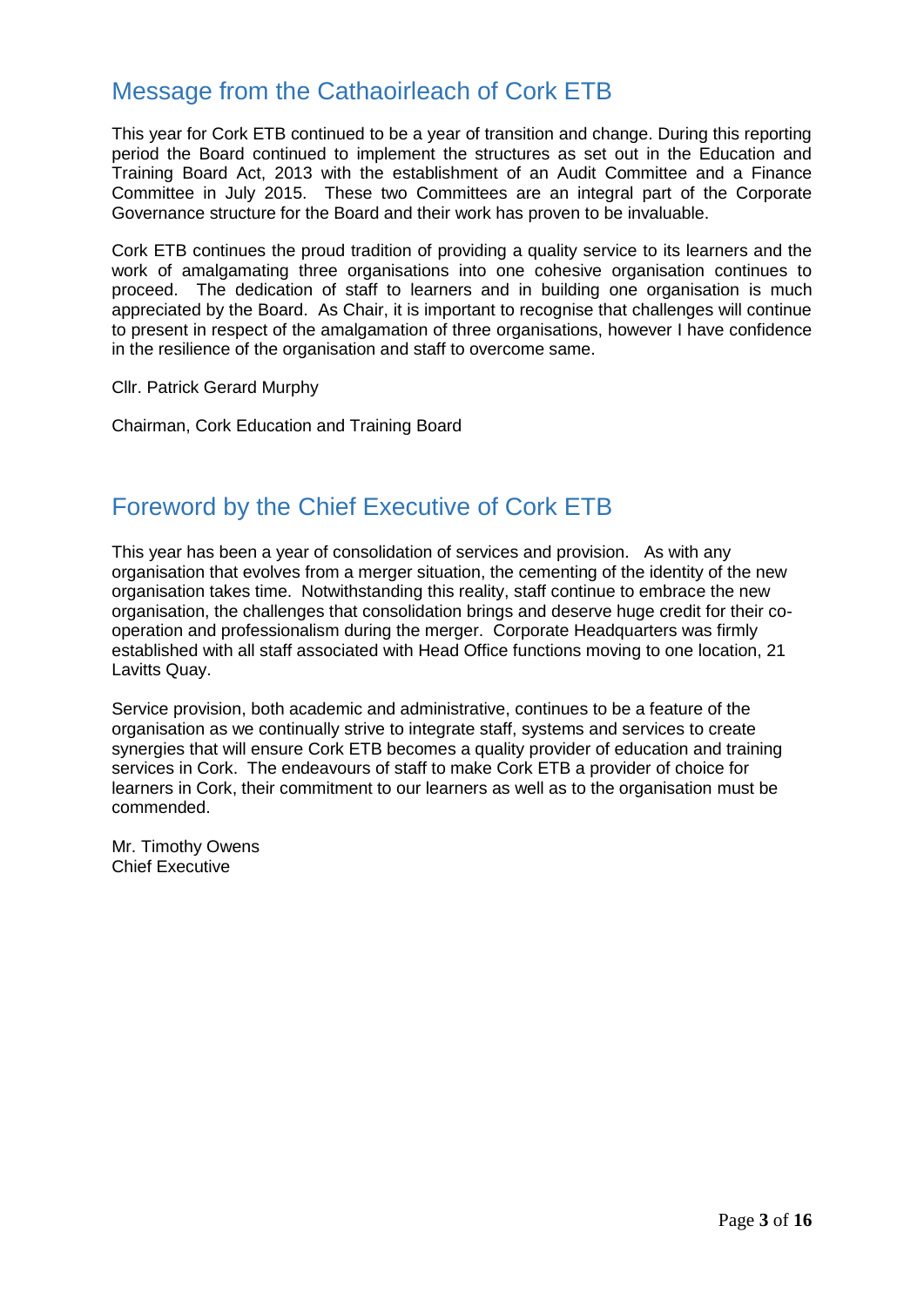### <span id="page-2-0"></span>Message from the Cathaoirleach of Cork ETB

This year for Cork ETB continued to be a year of transition and change. During this reporting period the Board continued to implement the structures as set out in the Education and Training Board Act, 2013 with the establishment of an Audit Committee and a Finance Committee in July 2015. These two Committees are an integral part of the Corporate Governance structure for the Board and their work has proven to be invaluable.

Cork ETB continues the proud tradition of providing a quality service to its learners and the work of amalgamating three organisations into one cohesive organisation continues to proceed. The dedication of staff to learners and in building one organisation is much appreciated by the Board. As Chair, it is important to recognise that challenges will continue to present in respect of the amalgamation of three organisations, however I have confidence in the resilience of the organisation and staff to overcome same.

Cllr. Patrick Gerard Murphy

Chairman, Cork Education and Training Board

### <span id="page-2-1"></span>Foreword by the Chief Executive of Cork ETB

This year has been a year of consolidation of services and provision. As with any organisation that evolves from a merger situation, the cementing of the identity of the new organisation takes time. Notwithstanding this reality, staff continue to embrace the new organisation, the challenges that consolidation brings and deserve huge credit for their cooperation and professionalism during the merger. Corporate Headquarters was firmly established with all staff associated with Head Office functions moving to one location, 21 Lavitts Quay.

Service provision, both academic and administrative, continues to be a feature of the organisation as we continually strive to integrate staff, systems and services to create synergies that will ensure Cork ETB becomes a quality provider of education and training services in Cork. The endeavours of staff to make Cork ETB a provider of choice for learners in Cork, their commitment to our learners as well as to the organisation must be commended.

Mr. Timothy Owens Chief Executive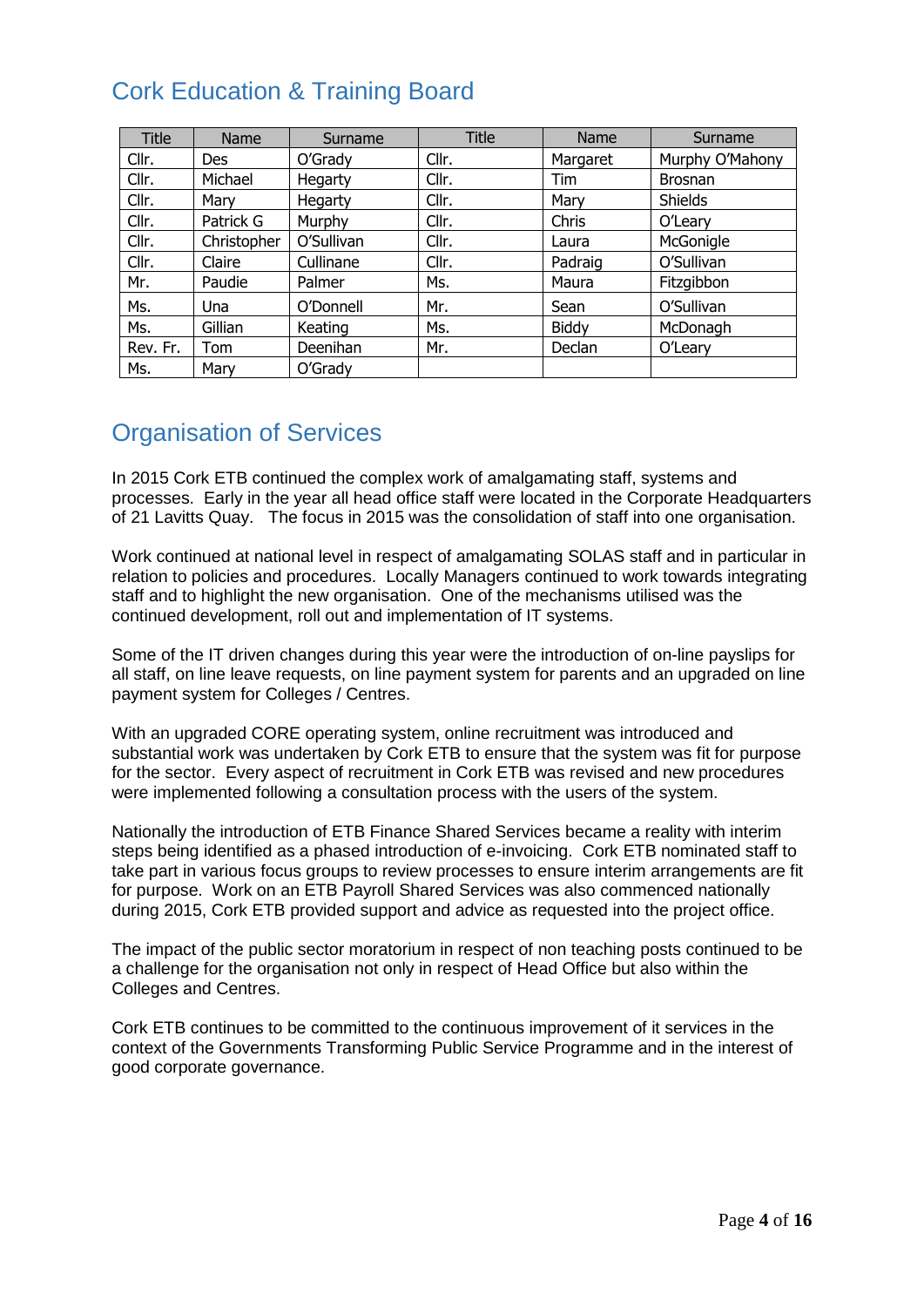### <span id="page-3-0"></span>Cork Education & Training Board

| <b>Title</b> | Name        | Surname    | <b>Title</b> | Name         | Surname         |
|--------------|-------------|------------|--------------|--------------|-----------------|
| Cllr.        | <b>Des</b>  | O'Grady    | Cllr.        | Margaret     | Murphy O'Mahony |
| Cllr.        | Michael     | Hegarty    | Cllr.        | Tim          | <b>Brosnan</b>  |
| Cllr.        | Mary        | Hegarty    | Cllr.        | Mary         | <b>Shields</b>  |
| Cllr.        | Patrick G   | Murphy     | Cllr.        | Chris        | O'Leary         |
| Cllr.        | Christopher | O'Sullivan | Cllr.        | Laura        | McGonigle       |
| Cllr.        | Claire      | Cullinane  | Cllr.        | Padraig      | O'Sullivan      |
| Mr.          | Paudie      | Palmer     | Ms.          | Maura        | Fitzgibbon      |
| Ms.          | Una         | O'Donnell  | Mr.          | Sean         | O'Sullivan      |
| Ms.          | Gillian     | Keating    | Ms.          | <b>Biddy</b> | McDonagh        |
| Rev. Fr.     | Tom         | Deenihan   | Mr.          | Declan       | O'Leary         |
| Ms.          | Mary        | O'Grady    |              |              |                 |

### <span id="page-3-1"></span>Organisation of Services

In 2015 Cork ETB continued the complex work of amalgamating staff, systems and processes. Early in the year all head office staff were located in the Corporate Headquarters of 21 Lavitts Quay. The focus in 2015 was the consolidation of staff into one organisation.

Work continued at national level in respect of amalgamating SOLAS staff and in particular in relation to policies and procedures. Locally Managers continued to work towards integrating staff and to highlight the new organisation. One of the mechanisms utilised was the continued development, roll out and implementation of IT systems.

Some of the IT driven changes during this year were the introduction of on-line payslips for all staff, on line leave requests, on line payment system for parents and an upgraded on line payment system for Colleges / Centres.

With an upgraded CORE operating system, online recruitment was introduced and substantial work was undertaken by Cork ETB to ensure that the system was fit for purpose for the sector. Every aspect of recruitment in Cork ETB was revised and new procedures were implemented following a consultation process with the users of the system.

Nationally the introduction of ETB Finance Shared Services became a reality with interim steps being identified as a phased introduction of e-invoicing. Cork ETB nominated staff to take part in various focus groups to review processes to ensure interim arrangements are fit for purpose. Work on an ETB Payroll Shared Services was also commenced nationally during 2015, Cork ETB provided support and advice as requested into the project office.

The impact of the public sector moratorium in respect of non teaching posts continued to be a challenge for the organisation not only in respect of Head Office but also within the Colleges and Centres.

Cork ETB continues to be committed to the continuous improvement of it services in the context of the Governments Transforming Public Service Programme and in the interest of good corporate governance.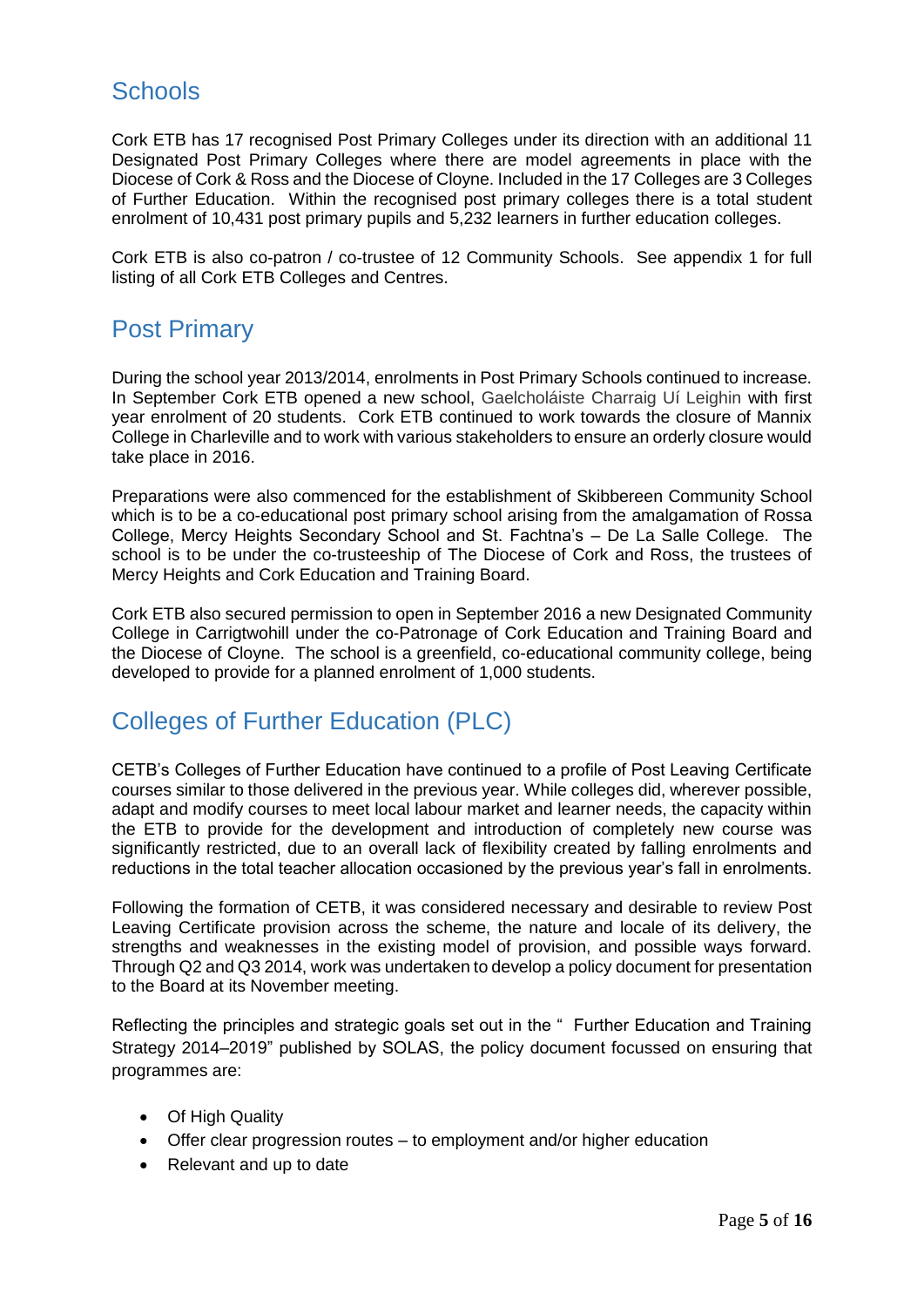### <span id="page-4-0"></span>**Schools**

Cork ETB has 17 recognised Post Primary Colleges under its direction with an additional 11 Designated Post Primary Colleges where there are model agreements in place with the Diocese of Cork & Ross and the Diocese of Cloyne. Included in the 17 Colleges are 3 Colleges of Further Education. Within the recognised post primary colleges there is a total student enrolment of 10,431 post primary pupils and 5,232 learners in further education colleges.

Cork ETB is also co-patron / co-trustee of 12 Community Schools. See appendix 1 for full listing of all Cork ETB Colleges and Centres.

### <span id="page-4-1"></span>Post Primary

During the school year 2013/2014, enrolments in Post Primary Schools continued to increase. In September Cork ETB opened a new school, Gaelcholáiste Charraig Uí Leighin with first year enrolment of 20 students. Cork ETB continued to work towards the closure of Mannix College in Charleville and to work with various stakeholders to ensure an orderly closure would take place in 2016.

Preparations were also commenced for the establishment of Skibbereen Community School which is to be a co-educational post primary school arising from the amalgamation of Rossa College, Mercy Heights Secondary School and St. Fachtna's – De La Salle College. The school is to be under the co-trusteeship of The Diocese of Cork and Ross, the trustees of Mercy Heights and Cork Education and Training Board.

Cork ETB also secured permission to open in September 2016 a new Designated Community College in Carrigtwohill under the co-Patronage of Cork Education and Training Board and the Diocese of Cloyne. The school is a greenfield, co-educational community college, being developed to provide for a planned enrolment of 1,000 students.

### <span id="page-4-2"></span>Colleges of Further Education (PLC)

CETB's Colleges of Further Education have continued to a profile of Post Leaving Certificate courses similar to those delivered in the previous year. While colleges did, wherever possible, adapt and modify courses to meet local labour market and learner needs, the capacity within the ETB to provide for the development and introduction of completely new course was significantly restricted, due to an overall lack of flexibility created by falling enrolments and reductions in the total teacher allocation occasioned by the previous year's fall in enrolments.

Following the formation of CETB, it was considered necessary and desirable to review Post Leaving Certificate provision across the scheme, the nature and locale of its delivery, the strengths and weaknesses in the existing model of provision, and possible ways forward. Through Q2 and Q3 2014, work was undertaken to develop a policy document for presentation to the Board at its November meeting.

Reflecting the principles and strategic goals set out in the " Further Education and Training Strategy 2014–2019" published by SOLAS, the policy document focussed on ensuring that programmes are:

- Of High Quality
- Offer clear progression routes to employment and/or higher education
- Relevant and up to date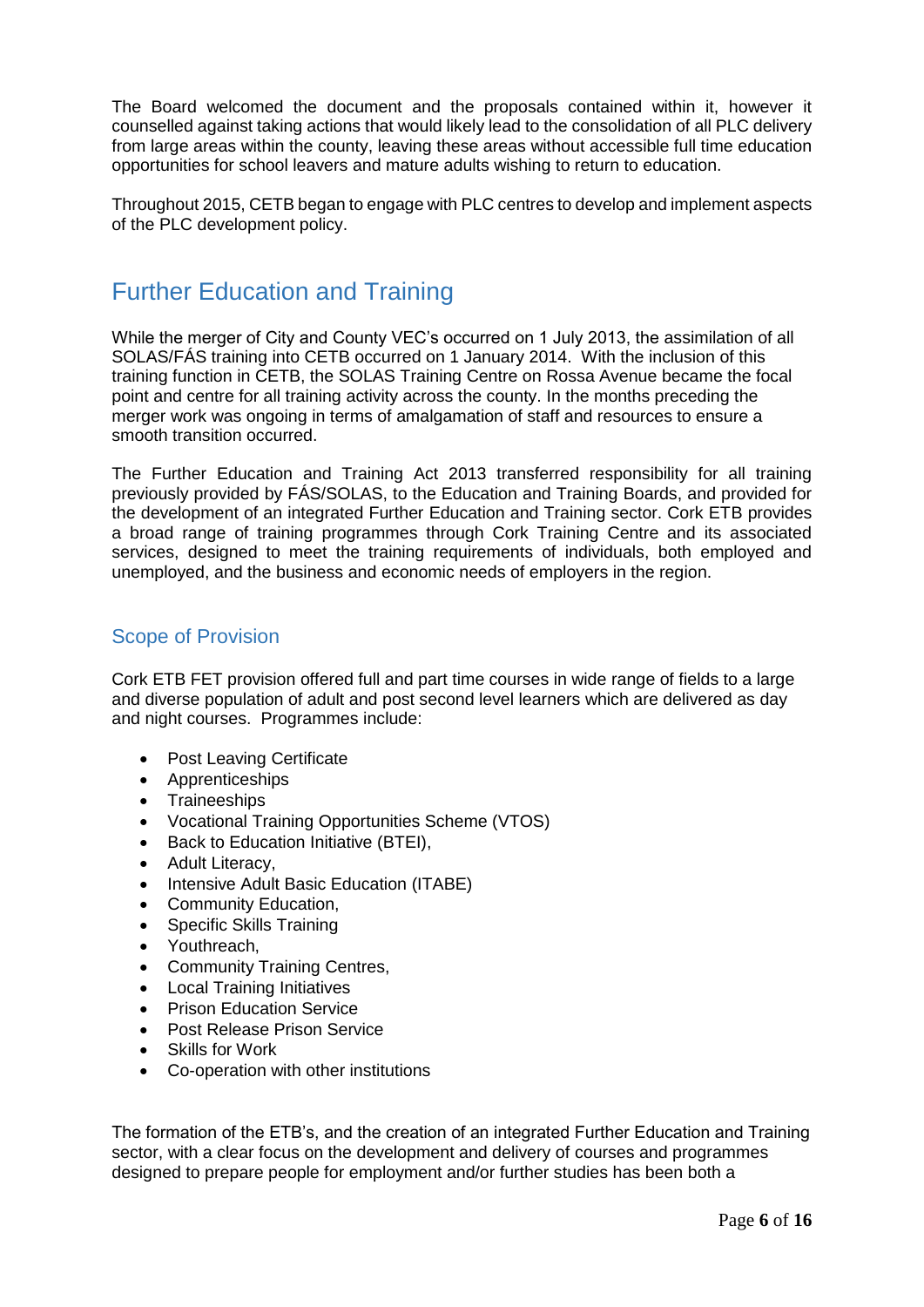The Board welcomed the document and the proposals contained within it, however it counselled against taking actions that would likely lead to the consolidation of all PLC delivery from large areas within the county, leaving these areas without accessible full time education opportunities for school leavers and mature adults wishing to return to education.

Throughout 2015, CETB began to engage with PLC centres to develop and implement aspects of the PLC development policy.

### <span id="page-5-0"></span>Further Education and Training

While the merger of City and County VEC's occurred on 1 July 2013, the assimilation of all SOLAS/FÁS training into CETB occurred on 1 January 2014. With the inclusion of this training function in CETB, the SOLAS Training Centre on Rossa Avenue became the focal point and centre for all training activity across the county. In the months preceding the merger work was ongoing in terms of amalgamation of staff and resources to ensure a smooth transition occurred.

The Further Education and Training Act 2013 transferred responsibility for all training previously provided by FÁS/SOLAS, to the Education and Training Boards, and provided for the development of an integrated Further Education and Training sector. Cork ETB provides a broad range of training programmes through Cork Training Centre and its associated services, designed to meet the training requirements of individuals, both employed and unemployed, and the business and economic needs of employers in the region.

### <span id="page-5-1"></span>Scope of Provision

Cork ETB FET provision offered full and part time courses in wide range of fields to a large and diverse population of adult and post second level learners which are delivered as day and night courses. Programmes include:

- Post Leaving Certificate
- Apprenticeships
- Traineeships
- Vocational Training Opportunities Scheme (VTOS)
- Back to Education Initiative (BTEI),
- Adult Literacy,
- Intensive Adult Basic Education (ITABE)
- Community Education,
- Specific Skills Training
- Youthreach,
- Community Training Centres,
- Local Training Initiatives
- Prison Education Service
- Post Release Prison Service
- Skills for Work
- Co-operation with other institutions

The formation of the ETB's, and the creation of an integrated Further Education and Training sector, with a clear focus on the development and delivery of courses and programmes designed to prepare people for employment and/or further studies has been both a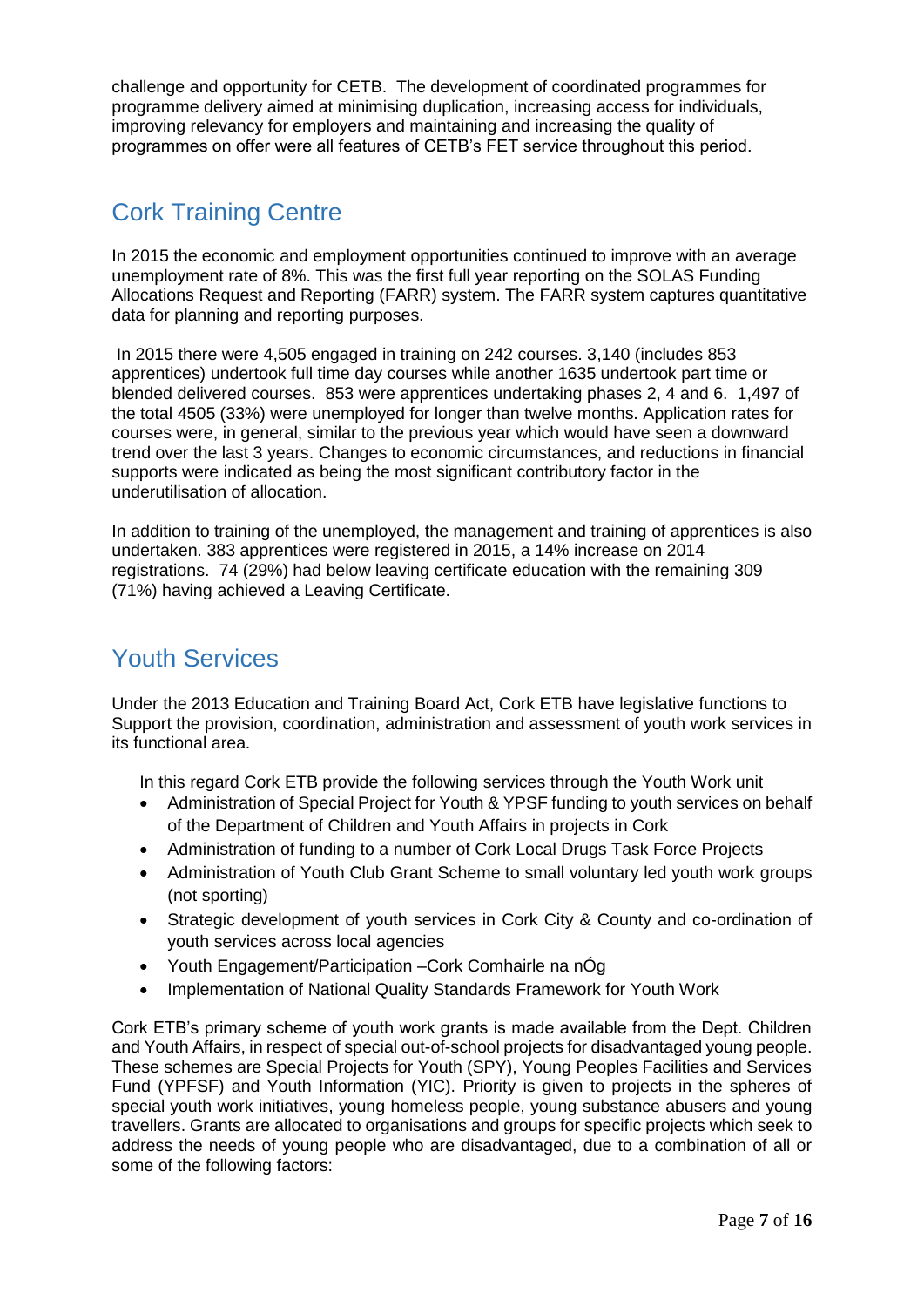challenge and opportunity for CETB. The development of coordinated programmes for programme delivery aimed at minimising duplication, increasing access for individuals, improving relevancy for employers and maintaining and increasing the quality of programmes on offer were all features of CETB's FET service throughout this period.

### Cork Training Centre

In 2015 the economic and employment opportunities continued to improve with an average unemployment rate of 8%. This was the first full year reporting on the SOLAS Funding Allocations Request and Reporting (FARR) system. The FARR system captures quantitative data for planning and reporting purposes.

In 2015 there were 4,505 engaged in training on 242 courses. 3,140 (includes 853 apprentices) undertook full time day courses while another 1635 undertook part time or blended delivered courses. 853 were apprentices undertaking phases 2, 4 and 6. 1,497 of the total 4505 (33%) were unemployed for longer than twelve months. Application rates for courses were, in general, similar to the previous year which would have seen a downward trend over the last 3 years. Changes to economic circumstances, and reductions in financial supports were indicated as being the most significant contributory factor in the underutilisation of allocation.

In addition to training of the unemployed, the management and training of apprentices is also undertaken. 383 apprentices were registered in 2015, a 14% increase on 2014 registrations. 74 (29%) had below leaving certificate education with the remaining 309 (71%) having achieved a Leaving Certificate.

### <span id="page-6-0"></span>Youth Services

Under the 2013 Education and Training Board Act, Cork ETB have legislative functions to Support the provision, coordination, administration and assessment of youth work services in its functional area.

In this regard Cork ETB provide the following services through the Youth Work unit

- Administration of Special Project for Youth & YPSF funding to youth services on behalf of the Department of Children and Youth Affairs in projects in Cork
- Administration of funding to a number of Cork Local Drugs Task Force Projects
- Administration of Youth Club Grant Scheme to small voluntary led youth work groups (not sporting)
- Strategic development of youth services in Cork City & County and co-ordination of youth services across local agencies
- Youth Engagement/Participation –Cork Comhairle na nÓg
- Implementation of National Quality Standards Framework for Youth Work

Cork ETB's primary scheme of youth work grants is made available from the Dept. Children and Youth Affairs, in respect of special out-of-school projects for disadvantaged young people. These schemes are Special Projects for Youth (SPY), Young Peoples Facilities and Services Fund (YPFSF) and Youth Information (YIC). Priority is given to projects in the spheres of special youth work initiatives, young homeless people, young substance abusers and young travellers. Grants are allocated to organisations and groups for specific projects which seek to address the needs of young people who are disadvantaged, due to a combination of all or some of the following factors: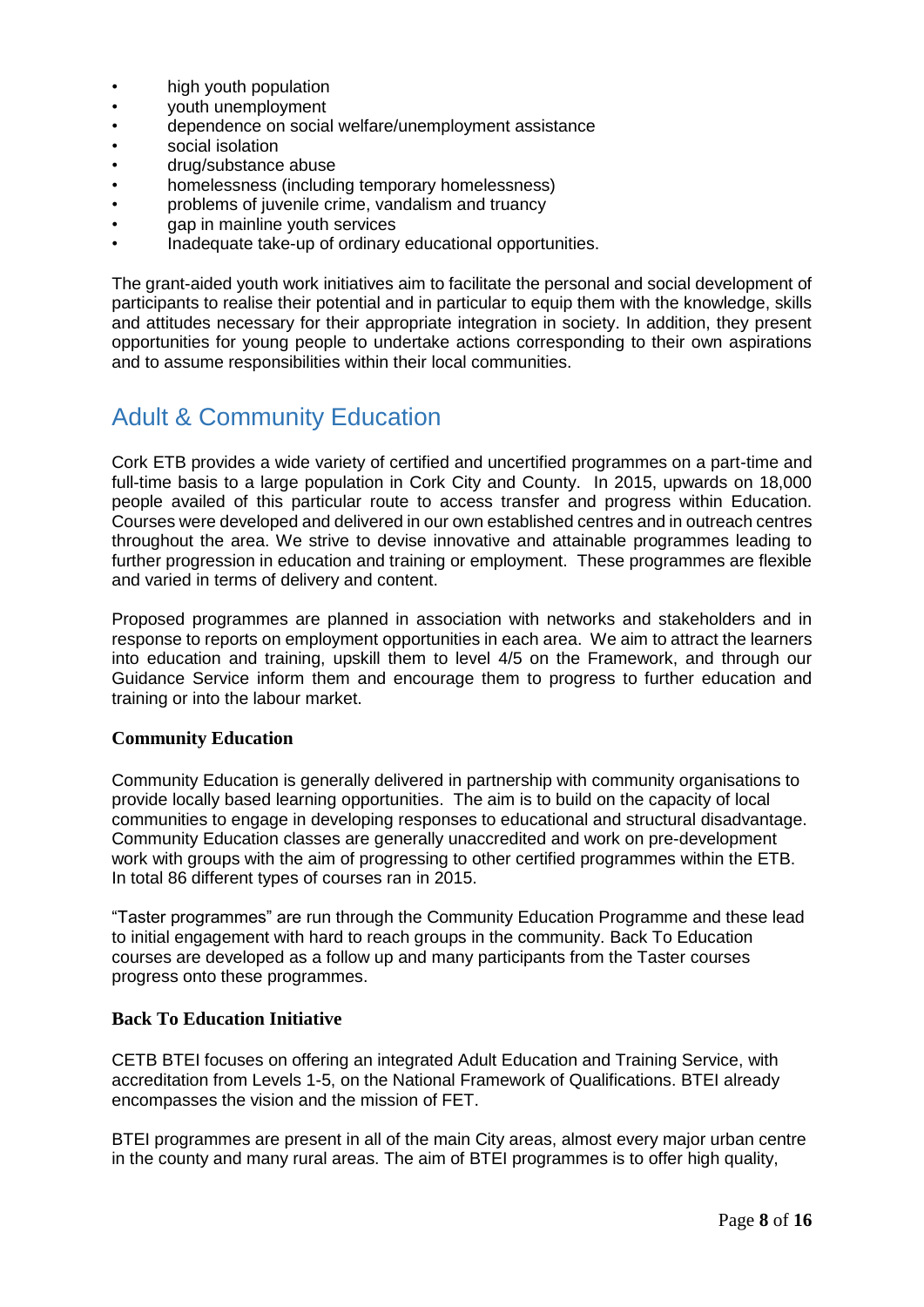- high youth population
- youth unemployment
- dependence on social welfare/unemployment assistance<br>• social isolation
- social isolation
- drug/substance abuse
- homelessness (including temporary homelessness)
- problems of juvenile crime, vandalism and truancy
- gap in mainline youth services
- Inadequate take-up of ordinary educational opportunities.

The grant-aided youth work initiatives aim to facilitate the personal and social development of participants to realise their potential and in particular to equip them with the knowledge, skills and attitudes necessary for their appropriate integration in society. In addition, they present opportunities for young people to undertake actions corresponding to their own aspirations and to assume responsibilities within their local communities.

### <span id="page-7-0"></span>Adult & Community Education

Cork ETB provides a wide variety of certified and uncertified programmes on a part-time and full-time basis to a large population in Cork City and County. In 2015, upwards on 18,000 people availed of this particular route to access transfer and progress within Education. Courses were developed and delivered in our own established centres and in outreach centres throughout the area. We strive to devise innovative and attainable programmes leading to further progression in education and training or employment. These programmes are flexible and varied in terms of delivery and content.

Proposed programmes are planned in association with networks and stakeholders and in response to reports on employment opportunities in each area. We aim to attract the learners into education and training, upskill them to level 4/5 on the Framework, and through our Guidance Service inform them and encourage them to progress to further education and training or into the labour market.

#### **Community Education**

Community Education is generally delivered in partnership with community organisations to provide locally based learning opportunities. The aim is to build on the capacity of local communities to engage in developing responses to educational and structural disadvantage. Community Education classes are generally unaccredited and work on pre-development work with groups with the aim of progressing to other certified programmes within the ETB. In total 86 different types of courses ran in 2015.

"Taster programmes" are run through the Community Education Programme and these lead to initial engagement with hard to reach groups in the community. Back To Education courses are developed as a follow up and many participants from the Taster courses progress onto these programmes.

#### **Back To Education Initiative**

CETB BTEI focuses on offering an integrated Adult Education and Training Service, with accreditation from Levels 1-5, on the National Framework of Qualifications. BTEI already encompasses the vision and the mission of FET.

BTEI programmes are present in all of the main City areas, almost every major urban centre in the county and many rural areas. The aim of BTEI programmes is to offer high quality,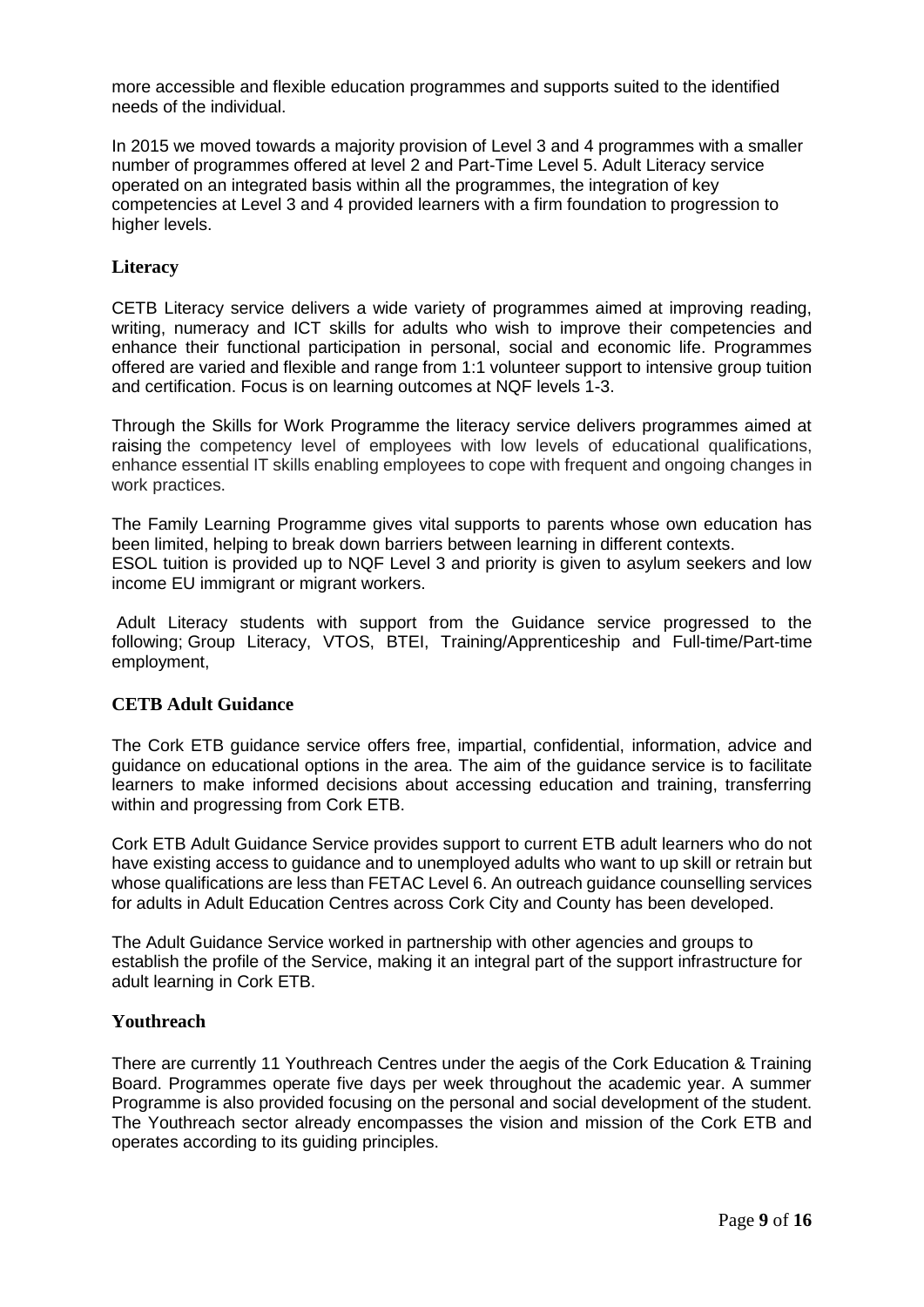more accessible and flexible education programmes and supports suited to the identified needs of the individual.

In 2015 we moved towards a majority provision of Level 3 and 4 programmes with a smaller number of programmes offered at level 2 and Part-Time Level 5. Adult Literacy service operated on an integrated basis within all the programmes, the integration of key competencies at Level 3 and 4 provided learners with a firm foundation to progression to higher levels.

#### **Literacy**

CETB Literacy service delivers a wide variety of programmes aimed at improving reading, writing, numeracy and ICT skills for adults who wish to improve their competencies and enhance their functional participation in personal, social and economic life. Programmes offered are varied and flexible and range from 1:1 volunteer support to intensive group tuition and certification. Focus is on learning outcomes at NQF levels 1-3.

Through the Skills for Work Programme the literacy service delivers programmes aimed at raising the competency level of employees with low levels of educational qualifications, enhance essential IT skills enabling employees to cope with frequent and ongoing changes in work practices.

The Family Learning Programme gives vital supports to parents whose own education has been limited, helping to break down barriers between learning in different contexts. ESOL tuition is provided up to NQF Level 3 and priority is given to asylum seekers and low income EU immigrant or migrant workers.

Adult Literacy students with support from the Guidance service progressed to the following; Group Literacy, VTOS, BTEI, Training/Apprenticeship and Full-time/Part-time employment,

#### **CETB Adult Guidance**

The Cork ETB guidance service offers free, impartial, confidential, information, advice and guidance on educational options in the area. The aim of the guidance service is to facilitate learners to make informed decisions about accessing education and training, transferring within and progressing from Cork ETB.

Cork ETB Adult Guidance Service provides support to current ETB adult learners who do not have existing access to guidance and to unemployed adults who want to up skill or retrain but whose qualifications are less than FETAC Level 6. An outreach guidance counselling services for adults in Adult Education Centres across Cork City and County has been developed.

The Adult Guidance Service worked in partnership with other agencies and groups to establish the profile of the Service, making it an integral part of the support infrastructure for adult learning in Cork ETB.

#### **Youthreach**

There are currently 11 Youthreach Centres under the aegis of the Cork Education & Training Board. Programmes operate five days per week throughout the academic year. A summer Programme is also provided focusing on the personal and social development of the student. The Youthreach sector already encompasses the vision and mission of the Cork ETB and operates according to its guiding principles.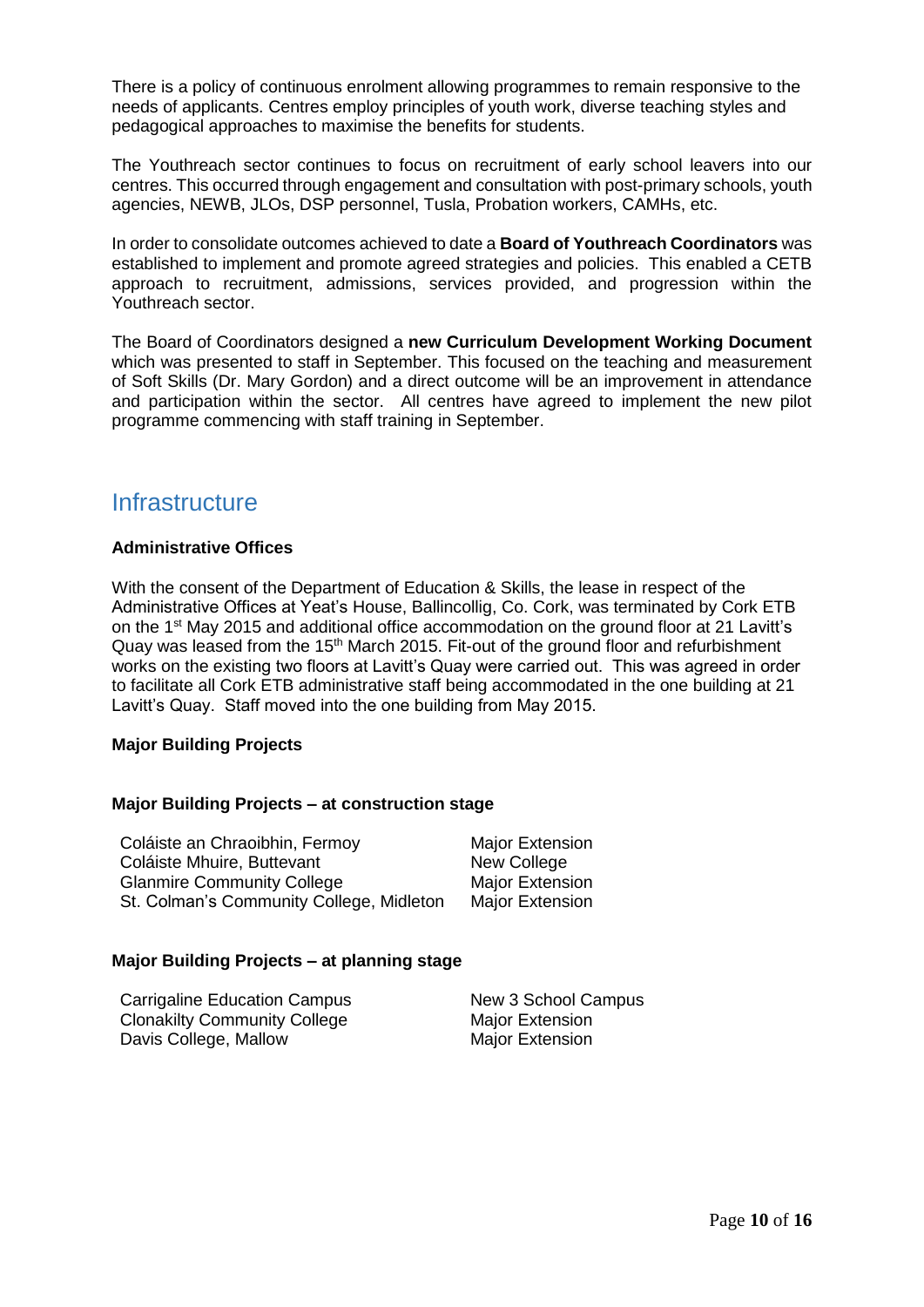There is a policy of continuous enrolment allowing programmes to remain responsive to the needs of applicants. Centres employ principles of youth work, diverse teaching styles and pedagogical approaches to maximise the benefits for students.

The Youthreach sector continues to focus on recruitment of early school leavers into our centres. This occurred through engagement and consultation with post-primary schools, youth agencies, NEWB, JLOs, DSP personnel, Tusla, Probation workers, CAMHs, etc.

In order to consolidate outcomes achieved to date a **Board of Youthreach Coordinators** was established to implement and promote agreed strategies and policies. This enabled a CETB approach to recruitment, admissions, services provided, and progression within the Youthreach sector.

The Board of Coordinators designed a **new Curriculum Development Working Document** which was presented to staff in September. This focused on the teaching and measurement of Soft Skills (Dr. Mary Gordon) and a direct outcome will be an improvement in attendance and participation within the sector. All centres have agreed to implement the new pilot programme commencing with staff training in September.

### <span id="page-9-0"></span>**Infrastructure**

#### **Administrative Offices**

With the consent of the Department of Education & Skills, the lease in respect of the Administrative Offices at Yeat's House, Ballincollig, Co. Cork, was terminated by Cork ETB on the 1st May 2015 and additional office accommodation on the ground floor at 21 Lavitt's Quay was leased from the 15<sup>th</sup> March 2015. Fit-out of the ground floor and refurbishment works on the existing two floors at Lavitt's Quay were carried out. This was agreed in order to facilitate all Cork ETB administrative staff being accommodated in the one building at 21 Lavitt's Quay. Staff moved into the one building from May 2015.

#### **Major Building Projects**

#### **Major Building Projects – at construction stage**

| Coláiste an Chraoibhin, Fermoy           | <b>Major Extension</b> |
|------------------------------------------|------------------------|
| Coláiste Mhuire, Buttevant               | New College            |
| <b>Glanmire Community College</b>        | <b>Major Extension</b> |
| St. Colman's Community College, Midleton | <b>Major Extension</b> |

#### **Major Building Projects – at planning stage**

Carrigaline Education Campus New 3 School Campus Clonakilty Community College Major Extension Davis College, Mallow Major Extension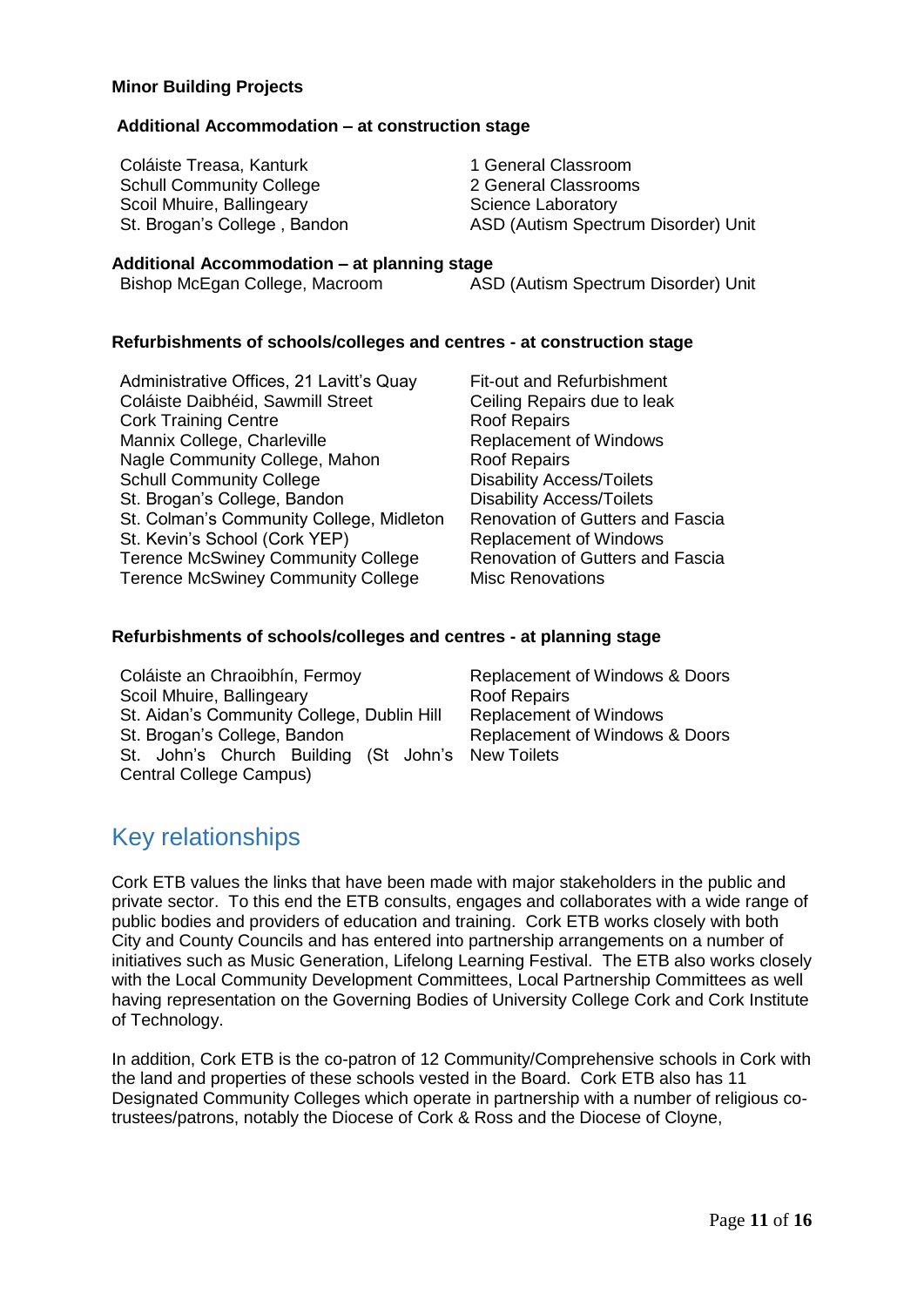#### **Minor Building Projects**

#### **Additional Accommodation – at construction stage**

Coláiste Treasa, Kanturk 1 General Classroom Schull Community College 2 General Classrooms Scoil Mhuire, Ballingeary **Science Laboratory** Science Laboratory

St. Brogan's College, Bandon ASD (Autism Spectrum Disorder) Unit

#### **Additional Accommodation – at planning stage**

| Bishop McEgan College, Macroom |  |
|--------------------------------|--|
|--------------------------------|--|

ASD (Autism Spectrum Disorder) Unit

#### **Refurbishments of schools/colleges and centres - at construction stage**

Administrative Offices, 21 Lavitt's Quay Fit-out and Refurbishment Coláiste Daibhéid, Sawmill Street Ceiling Repairs due to leak Cork Training Centre **Roof Repairs** Mannix College, Charleville **Replacement of Windows** Nagle Community College, Mahon Roof Repairs Schull Community College Disability Access/Toilets St. Brogan's College, Bandon Disability Access/Toilets St. Colman's Community College, Midleton Renovation of Gutters and Fascia St. Kevin's School (Cork YEP) Replacement of Windows Terence McSwiney Community College Renovation of Gutters and Fascia Terence McSwiney Community College Misc Renovations

#### **Refurbishments of schools/colleges and centres - at planning stage**

| Coláiste an Chraoibhín, Fermoy                    | Replacement of Windows & Doors |
|---------------------------------------------------|--------------------------------|
| Scoil Mhuire, Ballingeary                         | <b>Roof Repairs</b>            |
| St. Aidan's Community College, Dublin Hill        | <b>Replacement of Windows</b>  |
| St. Brogan's College, Bandon                      | Replacement of Windows & Doors |
| St. John's Church Building (St John's New Toilets |                                |
| Central College Campus)                           |                                |

### <span id="page-10-0"></span>Key relationships

Cork ETB values the links that have been made with major stakeholders in the public and private sector. To this end the ETB consults, engages and collaborates with a wide range of public bodies and providers of education and training. Cork ETB works closely with both City and County Councils and has entered into partnership arrangements on a number of initiatives such as Music Generation, Lifelong Learning Festival. The ETB also works closely with the Local Community Development Committees, Local Partnership Committees as well having representation on the Governing Bodies of University College Cork and Cork Institute of Technology.

In addition, Cork ETB is the co-patron of 12 Community/Comprehensive schools in Cork with the land and properties of these schools vested in the Board. Cork ETB also has 11 Designated Community Colleges which operate in partnership with a number of religious cotrustees/patrons, notably the Diocese of Cork & Ross and the Diocese of Cloyne,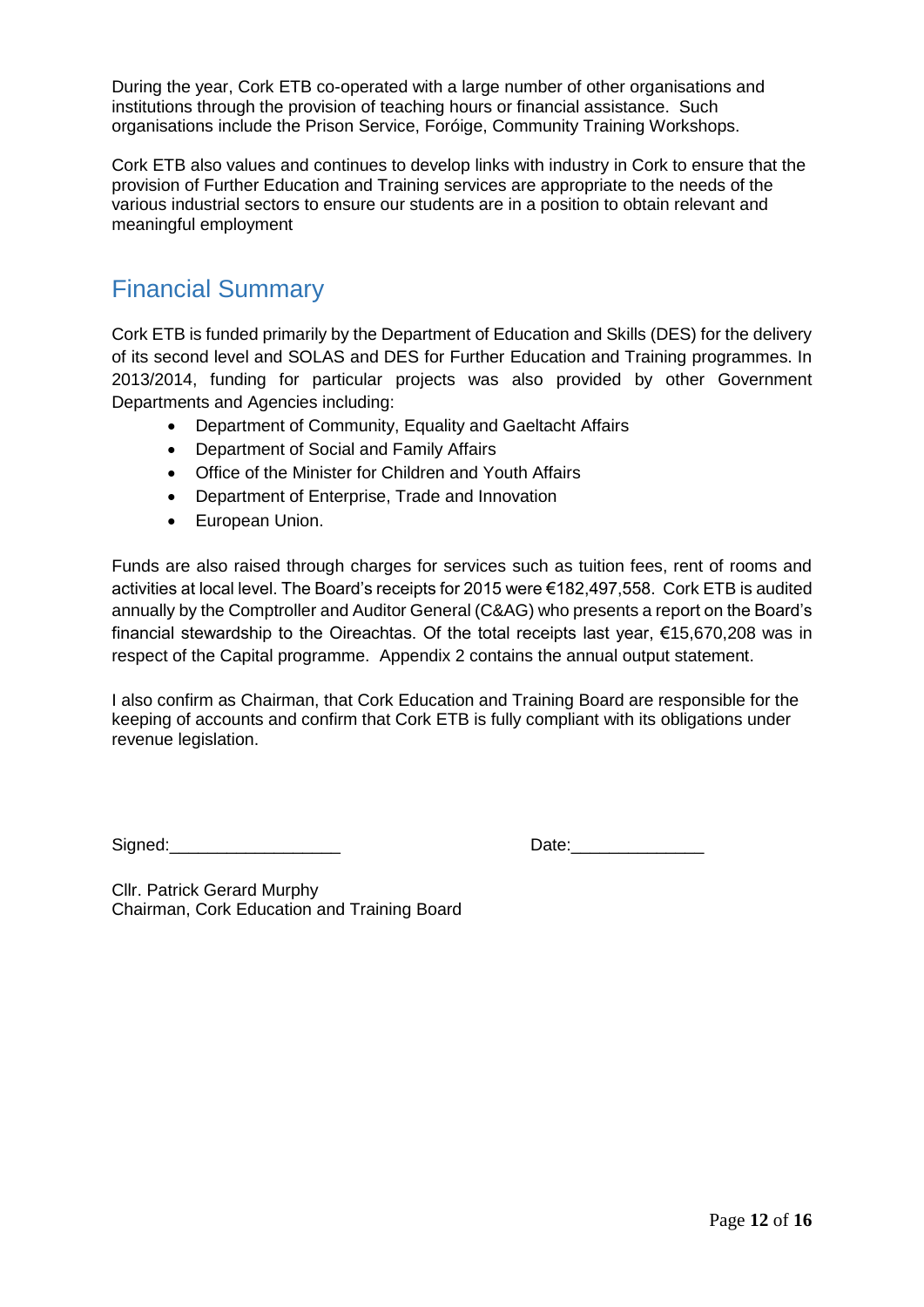During the year, Cork ETB co-operated with a large number of other organisations and institutions through the provision of teaching hours or financial assistance. Such organisations include the Prison Service, Foróige, Community Training Workshops.

Cork ETB also values and continues to develop links with industry in Cork to ensure that the provision of Further Education and Training services are appropriate to the needs of the various industrial sectors to ensure our students are in a position to obtain relevant and meaningful employment

### <span id="page-11-0"></span>Financial Summary

Cork ETB is funded primarily by the Department of Education and Skills (DES) for the delivery of its second level and SOLAS and DES for Further Education and Training programmes. In 2013/2014, funding for particular projects was also provided by other Government Departments and Agencies including:

- Department of Community, Equality and Gaeltacht Affairs
- Department of Social and Family Affairs
- Office of the Minister for Children and Youth Affairs
- Department of Enterprise, Trade and Innovation
- European Union.

Funds are also raised through charges for services such as tuition fees, rent of rooms and activities at local level. The Board's receipts for 2015 were €182,497,558. Cork ETB is audited annually by the Comptroller and Auditor General (C&AG) who presents a report on the Board's financial stewardship to the Oireachtas. Of the total receipts last year, €15,670,208 was in respect of the Capital programme. Appendix 2 contains the annual output statement.

I also confirm as Chairman, that Cork Education and Training Board are responsible for the keeping of accounts and confirm that Cork ETB is fully compliant with its obligations under revenue legislation.

Signed: The Contract of the Contract of Contract of Contract Oriental Date:

Cllr. Patrick Gerard Murphy Chairman, Cork Education and Training Board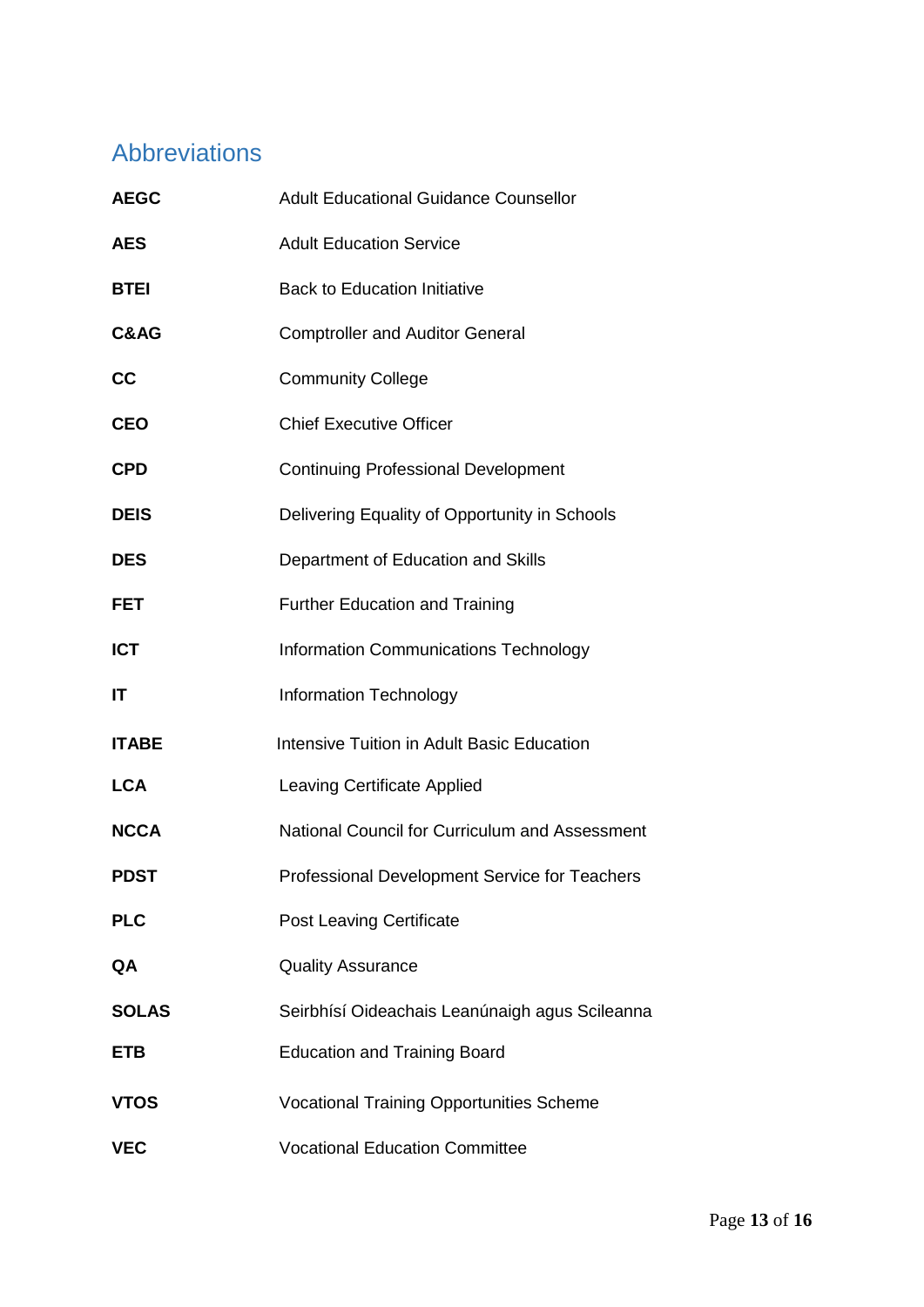# <span id="page-12-0"></span>Abbreviations

<span id="page-12-1"></span>

| <b>AEGC</b>  | <b>Adult Educational Guidance Counsellor</b>         |
|--------------|------------------------------------------------------|
| <b>AES</b>   | <b>Adult Education Service</b>                       |
| <b>BTEI</b>  | <b>Back to Education Initiative</b>                  |
| C&AG         | <b>Comptroller and Auditor General</b>               |
| cc           | <b>Community College</b>                             |
| <b>CEO</b>   | <b>Chief Executive Officer</b>                       |
| <b>CPD</b>   | <b>Continuing Professional Development</b>           |
| <b>DEIS</b>  | Delivering Equality of Opportunity in Schools        |
| <b>DES</b>   | Department of Education and Skills                   |
| <b>FET</b>   | <b>Further Education and Training</b>                |
| <b>ICT</b>   | <b>Information Communications Technology</b>         |
| IT           | <b>Information Technology</b>                        |
| <b>ITABE</b> | <b>Intensive Tuition in Adult Basic Education</b>    |
| <b>LCA</b>   | Leaving Certificate Applied                          |
| <b>NCCA</b>  | National Council for Curriculum and Assessment       |
| <b>PDST</b>  | <b>Professional Development Service for Teachers</b> |
| <b>PLC</b>   | <b>Post Leaving Certificate</b>                      |
| QA           | <b>Quality Assurance</b>                             |
| <b>SOLAS</b> | Seirbhísí Oideachais Leanúnaigh agus Scileanna       |
| <b>ETB</b>   | <b>Education and Training Board</b>                  |
| <b>VTOS</b>  | <b>Vocational Training Opportunities Scheme</b>      |
| <b>VEC</b>   | <b>Vocational Education Committee</b>                |
|              |                                                      |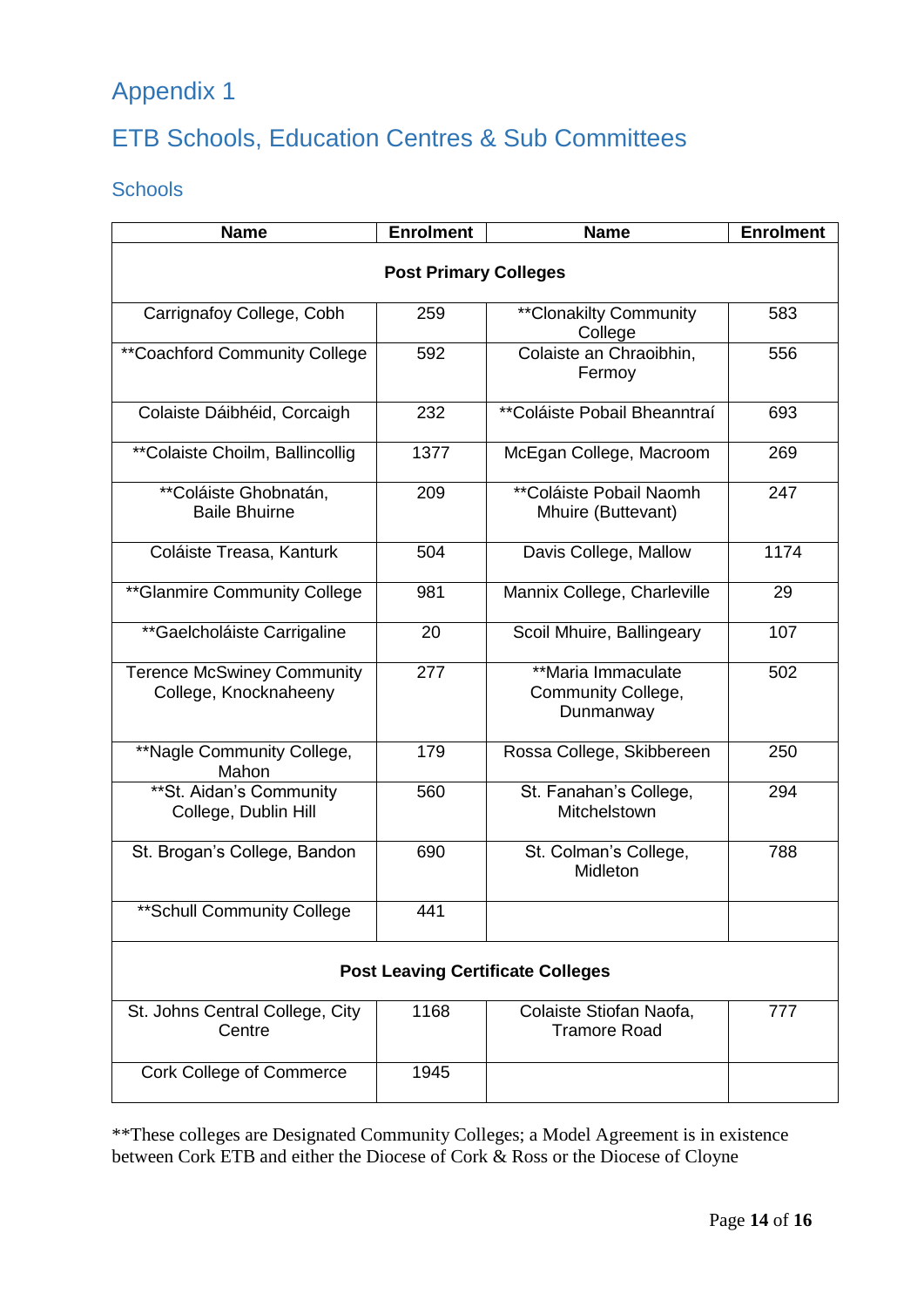# <span id="page-13-0"></span>Appendix 1

# <span id="page-13-1"></span>ETB Schools, Education Centres & Sub Committees

### <span id="page-13-2"></span>**Schools**

| <b>Name</b>                                                | <b>Enrolment</b> | <b>Name</b>                                           | <b>Enrolment</b> |  |
|------------------------------------------------------------|------------------|-------------------------------------------------------|------------------|--|
| <b>Post Primary Colleges</b>                               |                  |                                                       |                  |  |
| Carrignafoy College, Cobh                                  | 259              | <b>**Clonakilty Community</b><br>College              | 583              |  |
| <i>**</i> Coachford Community College                      | 592              | Colaiste an Chraoibhin,<br>Fermoy                     | 556              |  |
| Colaiste Dáibhéid, Corcaigh                                | 232              | **Coláiste Pobail Bheanntraí                          | 693              |  |
| ** Colaiste Choilm, Ballincollig                           | 1377             | McEgan College, Macroom                               | 269              |  |
| <b>**Coláiste Ghobnatán,</b><br><b>Baile Bhuirne</b>       | 209              | **Coláiste Pobail Naomh<br>Mhuire (Buttevant)         | 247              |  |
| Coláiste Treasa, Kanturk                                   | 504              | Davis College, Mallow                                 | 1174             |  |
| ** Glanmire Community College                              | 981              | Mannix College, Charleville                           | 29               |  |
| **Gaelcholáiste Carrigaline                                | 20               | Scoil Mhuire, Ballingeary                             | 107              |  |
| <b>Terence McSwiney Community</b><br>College, Knocknaheeny | 277              | **Maria Immaculate<br>Community College,<br>Dunmanway | 502              |  |
| **Nagle Community College,<br>Mahon                        | 179              | Rossa College, Skibbereen                             | 250              |  |
| ** St. Aidan's Community<br>College, Dublin Hill           | 560              | St. Fanahan's College,<br><b>Mitchelstown</b>         | 294              |  |
| St. Brogan's College, Bandon                               | 690              | St. Colman's College,<br>Midleton                     | 788              |  |
| ** Schull Community College                                | 441              |                                                       |                  |  |
| <b>Post Leaving Certificate Colleges</b>                   |                  |                                                       |                  |  |
| St. Johns Central College, City<br>Centre                  | 1168             | Colaiste Stiofan Naofa,<br><b>Tramore Road</b>        | 777              |  |
| <b>Cork College of Commerce</b>                            | 1945             |                                                       |                  |  |

\*\*These colleges are Designated Community Colleges; a Model Agreement is in existence between Cork ETB and either the Diocese of Cork & Ross or the Diocese of Cloyne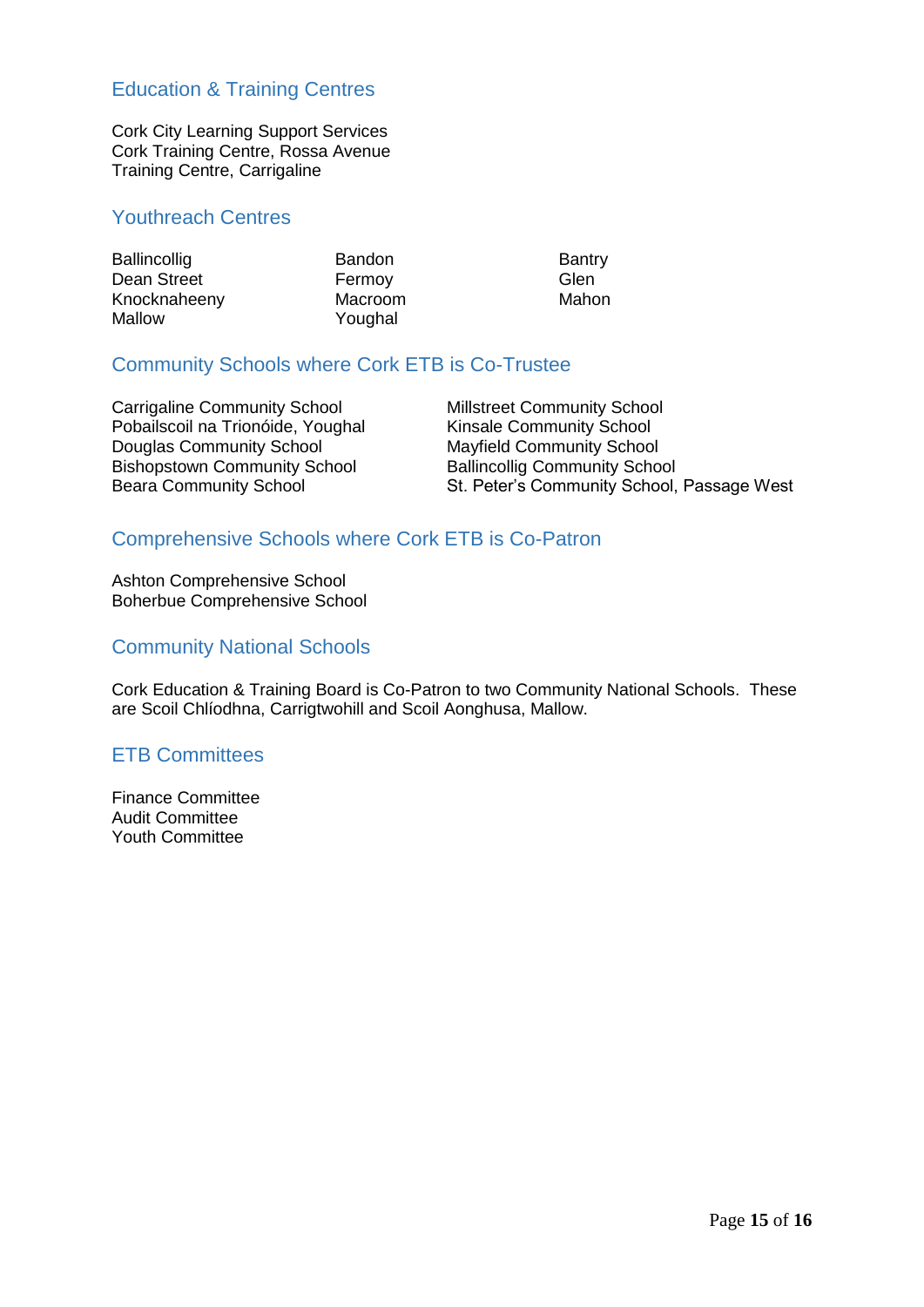### <span id="page-14-0"></span>Education & Training Centres

Cork City Learning Support Services Cork Training Centre, Rossa Avenue Training Centre, Carrigaline

### <span id="page-14-1"></span>Youthreach Centres

| <b>Ballincollig</b> | <b>Bandon</b> | <b>Bantry</b> |
|---------------------|---------------|---------------|
| Dean Street         | Fermov        | Glen          |
| Knocknaheeny        | Macroom       | Mahon         |
| Mallow              | Youghal       |               |

#### <span id="page-14-2"></span>Community Schools where Cork ETB is Co-Trustee

Carrigaline Community School Millstreet Community School Pobailscoil na Trionóide, Youghal Kinsale Community School Douglas Community School Mayfield Community School Bishopstown Community School Ballincollig Community School

Beara Community School St. Peter's Community School, Passage West

### <span id="page-14-3"></span>Comprehensive Schools where Cork ETB is Co-Patron

Ashton Comprehensive School Boherbue Comprehensive School

#### <span id="page-14-4"></span>Community National Schools

Cork Education & Training Board is Co-Patron to two Community National Schools. These are Scoil Chlíodhna, Carrigtwohill and Scoil Aonghusa, Mallow.

#### <span id="page-14-5"></span>ETB Committees

Finance Committee Audit Committee Youth Committee